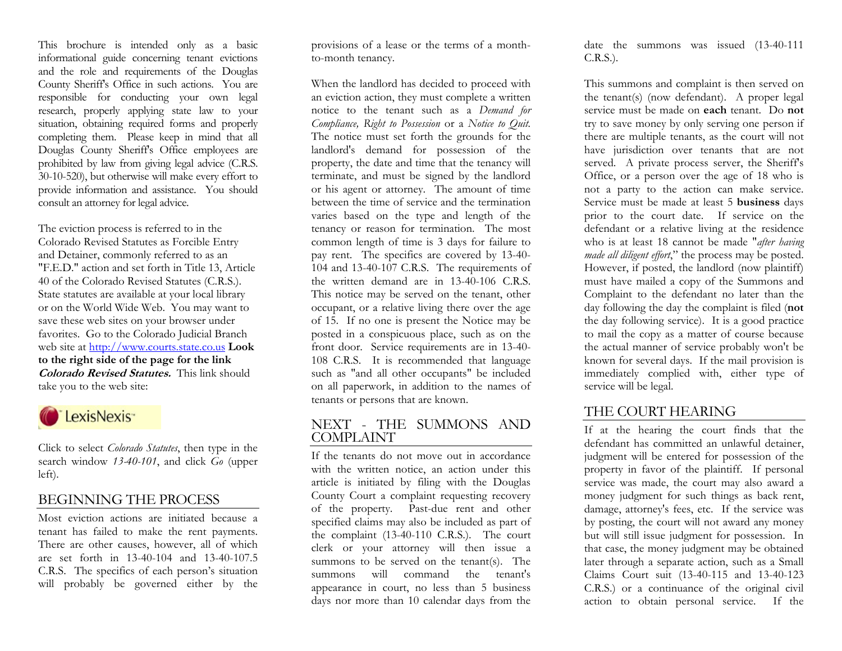This brochure is intended only as a basic informational guide concerning tenant evictions and the role and requirements of the Douglas County Sheriff's Office in such actions. You are responsible for conducting your own legal research, properly applying state law to your situation, obtaining required forms and properly completing them. Please keep in mind that all Douglas County Sheriff's Office employees are prohibited by law from giving legal advice (C.R.S. 30-10-520), but otherwise will make every effort to provide information and assistance. You should consult an attorney for legal advice.

The eviction process is referred to in the Colorado Revised Statutes as Forcible Entry and Detainer, commonly referred to as an "F.E.D." action and set forth in Title 13, Article 40 of the Colorado Revised Statutes (C.R.S.). State statutes are available at your local library or on the World Wide Web. You may want to save these web sites on your browser under favorites. Go to the Colorado Judicial Branch web site at [http://www.courts.state.co.us](http://www.courts.state.co.us/) **Look to the right side of the page for the link Colorado Revised Statutes.** This link should take you to the web site:



Click to select *Colorado Statutes*, then type in the search window *13-40-101*, and click *Go* (upper left).

### BEGINNING THE PROCESS

Most eviction actions are initiated because a tenant has failed to make the rent payments. There are other causes, however, all of which are set forth in 13-40-104 and 13-40-107.5 C.R.S. The specifics of each person's situation will probably be governed either by the

provisions of a lease or the terms of a monthto-month tenancy.

When the landlord has decided to proceed with an eviction action, they must complete a written notice to the tenant such as a *Demand for Compliance, Right to Possession* or a *Notice to Quit.*  The notice must set forth the grounds for the landlord's demand for possession of the property, the date and time that the tenancy will terminate, and must be signed by the landlord or his agent or attorney. The amount of time between the time of service and the termination varies based on the type and length of the tenancy or reason for termination. The most common length of time is 3 days for failure to pay rent. The specifics are covered by 13-40- 104 and 13-40-107 C.R.S. The requirements of the written demand are in 13-40-106 C.R.S. This notice may be served on the tenant, other occupant, or a relative living there over the age of 15. If no one is present the Notice may be posted in a conspicuous place, such as on the front door. Service requirements are in 13-40- 108 C.R.S. It is recommended that language such as "and all other occupants" be included on all paperwork, in addition to the names of tenants or persons that are known.

### NEXT - THE SUMMONS AND COMPLAINT

If the tenants do not move out in accordance with the written notice, an action under this article is initiated by filing with the Douglas County Court a complaint requesting recovery of the property. Past-due rent and other specified claims may also be included as part of the complaint (13-40-110 C.R.S.). The court clerk or your attorney will then issue a summons to be served on the tenant(s). The summons will command the tenant's appearance in court, no less than 5 business days nor more than 10 calendar days from the date the summons was issued (13-40-111 C.R.S.).

This summons and complaint is then served on the tenant(s) (now defendant). A proper legal service must be made on **each** tenant. Do **not** try to save money by only serving one person if there are multiple tenants, as the court will not have jurisdiction over tenants that are not served. A private process server, the Sheriff's Office, or a person over the age of 18 who is not a party to the action can make service. Service must be made at least 5 **business** days prior to the court date. If service on the defendant or a relative living at the residence who is at least 18 cannot be made "*after having made all diligent effort*," the process may be posted. However, if posted, the landlord (now plaintiff) must have mailed a copy of the Summons and Complaint to the defendant no later than the day following the day the complaint is filed (**not** the day following service). It is a good practice to mail the copy as a matter of course because the actual manner of service probably won't be known for several days. If the mail provision is immediately complied with, either type of service will be legal.

## THE COURT HEARING

If at the hearing the court finds that the defendant has committed an unlawful detainer, judgment will be entered for possession of the property in favor of the plaintiff. If personal service was made, the court may also award a money judgment for such things as back rent, damage, attorney's fees, etc. If the service was by posting, the court will not award any money but will still issue judgment for possession. In that case, the money judgment may be obtained later through a separate action, such as a Small Claims Court suit (13-40-115 and 13-40-123 C.R.S.) or a continuance of the original civil action to obtain personal service. If the